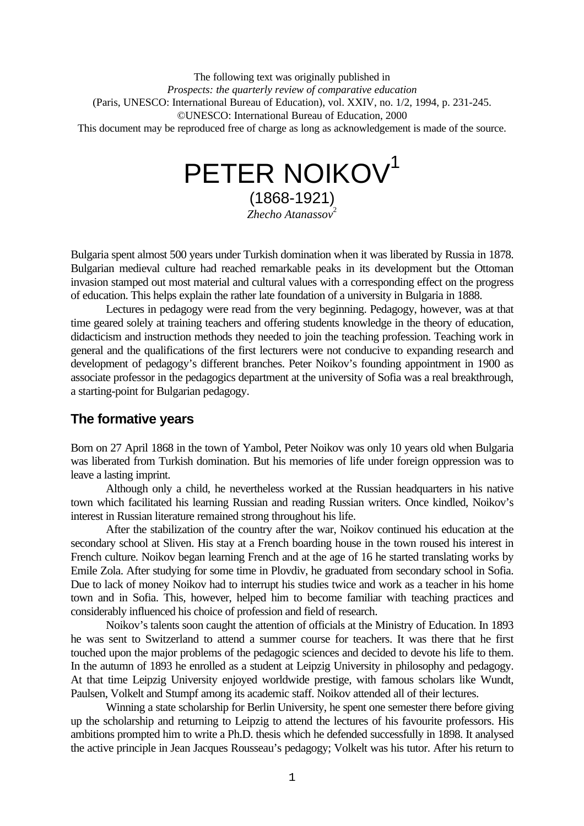The following text was originally published in *Prospects: the quarterly review of comparative education* (Paris, UNESCO: International Bureau of Education), vol. XXIV, no. 1/2, 1994, p. 231-245. ©UNESCO: International Bureau of Education, 2000 This document may be reproduced free of charge as long as acknowledgement is made of the source.

# PETER NOIKOV<sup>1</sup> (1868-1921)

*Zhecho Atanassov*<sup>2</sup>

Bulgaria spent almost 500 years under Turkish domination when it was liberated by Russia in 1878. Bulgarian medieval culture had reached remarkable peaks in its development but the Ottoman invasion stamped out most material and cultural values with a corresponding effect on the progress of education. This helps explain the rather late foundation of a university in Bulgaria in 1888.

Lectures in pedagogy were read from the very beginning. Pedagogy, however, was at that time geared solely at training teachers and offering students knowledge in the theory of education, didacticism and instruction methods they needed to join the teaching profession. Teaching work in general and the qualifications of the first lecturers were not conducive to expanding research and development of pedagogy's different branches. Peter Noikov's founding appointment in 1900 as associate professor in the pedagogics department at the university of Sofia was a real breakthrough, a starting-point for Bulgarian pedagogy.

### **The formative years**

Born on 27 April 1868 in the town of Yambol, Peter Noikov was only 10 years old when Bulgaria was liberated from Turkish domination. But his memories of life under foreign oppression was to leave a lasting imprint.

Although only a child, he nevertheless worked at the Russian headquarters in his native town which facilitated his learning Russian and reading Russian writers. Once kindled, Noikov's interest in Russian literature remained strong throughout his life.

After the stabilization of the country after the war, Noikov continued his education at the secondary school at Sliven. His stay at a French boarding house in the town roused his interest in French culture. Noikov began learning French and at the age of 16 he started translating works by Emile Zola. After studying for some time in Plovdiv, he graduated from secondary school in Sofia. Due to lack of money Noikov had to interrupt his studies twice and work as a teacher in his home town and in Sofia. This, however, helped him to become familiar with teaching practices and considerably influenced his choice of profession and field of research.

Noikov's talents soon caught the attention of officials at the Ministry of Education. In 1893 he was sent to Switzerland to attend a summer course for teachers. It was there that he first touched upon the major problems of the pedagogic sciences and decided to devote his life to them. In the autumn of 1893 he enrolled as a student at Leipzig University in philosophy and pedagogy. At that time Leipzig University enjoyed worldwide prestige, with famous scholars like Wundt, Paulsen, Volkelt and Stumpf among its academic staff. Noikov attended all of their lectures.

Winning a state scholarship for Berlin University, he spent one semester there before giving up the scholarship and returning to Leipzig to attend the lectures of his favourite professors. His ambitions prompted him to write a Ph.D. thesis which he defended successfully in 1898. It analysed the active principle in Jean Jacques Rousseau's pedagogy; Volkelt was his tutor. After his return to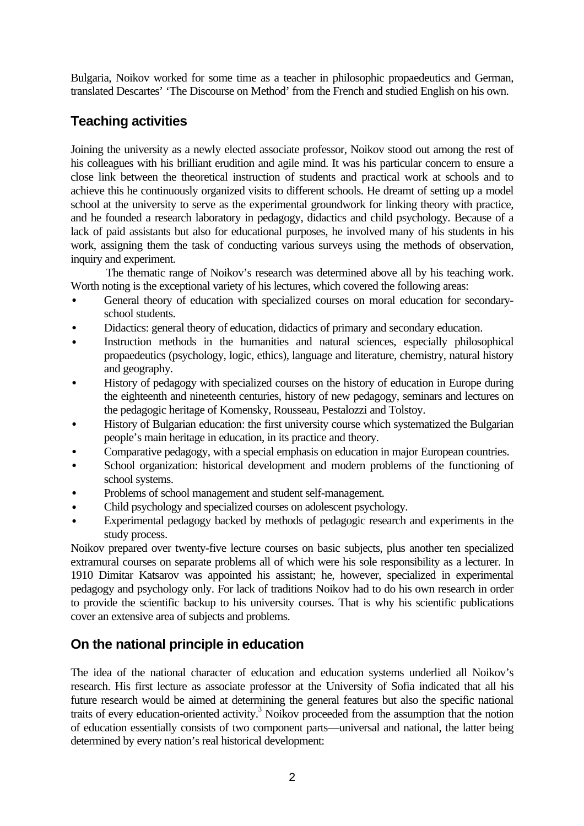Bulgaria, Noikov worked for some time as a teacher in philosophic propaedeutics and German, translated Descartes' 'The Discourse on Method' from the French and studied English on his own.

## **Teaching activities**

Joining the university as a newly elected associate professor, Noikov stood out among the rest of his colleagues with his brilliant erudition and agile mind. It was his particular concern to ensure a close link between the theoretical instruction of students and practical work at schools and to achieve this he continuously organized visits to different schools. He dreamt of setting up a model school at the university to serve as the experimental groundwork for linking theory with practice, and he founded a research laboratory in pedagogy, didactics and child psychology. Because of a lack of paid assistants but also for educational purposes, he involved many of his students in his work, assigning them the task of conducting various surveys using the methods of observation, inquiry and experiment.

The thematic range of Noikov's research was determined above all by his teaching work. Worth noting is the exceptional variety of his lectures, which covered the following areas:

- General theory of education with specialized courses on moral education for secondaryschool students.
- Didactics: general theory of education, didactics of primary and secondary education.
- Instruction methods in the humanities and natural sciences, especially philosophical propaedeutics (psychology, logic, ethics), language and literature, chemistry, natural history and geography.
- History of pedagogy with specialized courses on the history of education in Europe during the eighteenth and nineteenth centuries, history of new pedagogy, seminars and lectures on the pedagogic heritage of Komensky, Rousseau, Pestalozzi and Tolstoy.
- History of Bulgarian education: the first university course which systematized the Bulgarian people's main heritage in education, in its practice and theory.
- Comparative pedagogy, with a special emphasis on education in major European countries.
- School organization: historical development and modern problems of the functioning of school systems.
- Problems of school management and student self-management.
- Child psychology and specialized courses on adolescent psychology.
- Experimental pedagogy backed by methods of pedagogic research and experiments in the study process.

Noikov prepared over twenty-five lecture courses on basic subjects, plus another ten specialized extramural courses on separate problems all of which were his sole responsibility as a lecturer. In 1910 Dimitar Katsarov was appointed his assistant; he, however, specialized in experimental pedagogy and psychology only. For lack of traditions Noikov had to do his own research in order to provide the scientific backup to his university courses. That is why his scientific publications cover an extensive area of subjects and problems.

# **On the national principle in education**

The idea of the national character of education and education systems underlied all Noikov's research. His first lecture as associate professor at the University of Sofia indicated that all his future research would be aimed at determining the general features but also the specific national traits of every education-oriented activity.<sup>3</sup> Noikov proceeded from the assumption that the notion of education essentially consists of two component parts—universal and national, the latter being determined by every nation's real historical development: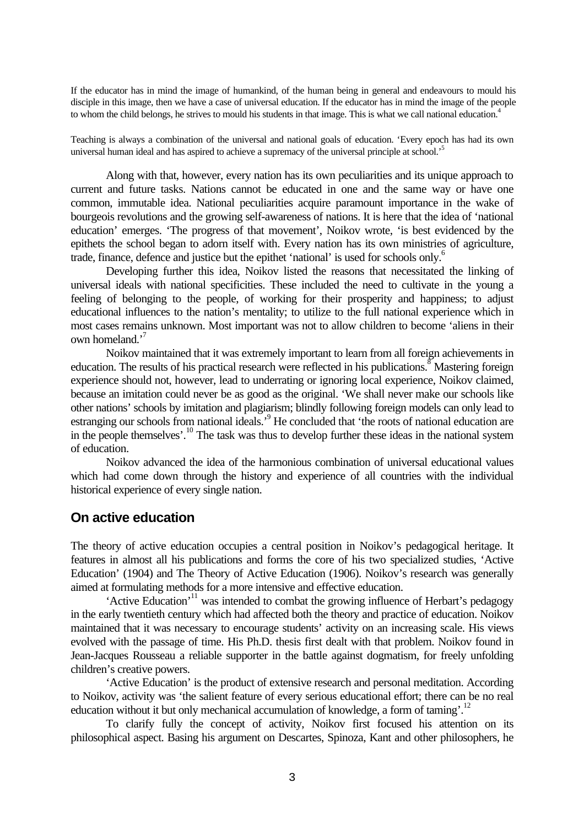If the educator has in mind the image of humankind, of the human being in general and endeavours to mould his disciple in this image, then we have a case of universal education. If the educator has in mind the image of the people to whom the child belongs, he strives to mould his students in that image. This is what we call national education.<sup>4</sup>

Teaching is always a combination of the universal and national goals of education. 'Every epoch has had its own universal human ideal and has aspired to achieve a supremacy of the universal principle at school.<sup>5</sup>

Along with that, however, every nation has its own peculiarities and its unique approach to current and future tasks. Nations cannot be educated in one and the same way or have one common, immutable idea. National peculiarities acquire paramount importance in the wake of bourgeois revolutions and the growing self-awareness of nations. It is here that the idea of 'national education' emerges. 'The progress of that movement', Noikov wrote, 'is best evidenced by the epithets the school began to adorn itself with. Every nation has its own ministries of agriculture, trade, finance, defence and justice but the epithet 'national' is used for schools only.<sup>6</sup>

Developing further this idea, Noikov listed the reasons that necessitated the linking of universal ideals with national specificities. These included the need to cultivate in the young a feeling of belonging to the people, of working for their prosperity and happiness; to adjust educational influences to the nation's mentality; to utilize to the full national experience which in most cases remains unknown. Most important was not to allow children to become 'aliens in their own homeland.'<sup>7</sup>

Noikov maintained that it was extremely important to learn from all foreign achievements in education. The results of his practical research were reflected in his publications.<sup>8</sup> Mastering foreign experience should not, however, lead to underrating or ignoring local experience, Noikov claimed, because an imitation could never be as good as the original. 'We shall never make our schools like other nations' schools by imitation and plagiarism; blindly following foreign models can only lead to estranging our schools from national ideals.<sup>9</sup> He concluded that 'the roots of national education are in the people themselves'.<sup>10</sup> The task was thus to develop further these ideas in the national system of education.

Noikov advanced the idea of the harmonious combination of universal educational values which had come down through the history and experience of all countries with the individual historical experience of every single nation.

#### **On active education**

The theory of active education occupies a central position in Noikov's pedagogical heritage. It features in almost all his publications and forms the core of his two specialized studies, 'Active Education' (1904) and The Theory of Active Education (1906). Noikov's research was generally aimed at formulating methods for a more intensive and effective education.

'Active Education'<sup>11</sup> was intended to combat the growing influence of Herbart's pedagogy in the early twentieth century which had affected both the theory and practice of education. Noikov maintained that it was necessary to encourage students' activity on an increasing scale. His views evolved with the passage of time. His Ph.D. thesis first dealt with that problem. Noikov found in Jean-Jacques Rousseau a reliable supporter in the battle against dogmatism, for freely unfolding children's creative powers.

'Active Education' is the product of extensive research and personal meditation. According to Noikov, activity was 'the salient feature of every serious educational effort; there can be no real education without it but only mechanical accumulation of knowledge, a form of taming'.<sup>12</sup>

To clarify fully the concept of activity, Noikov first focused his attention on its philosophical aspect. Basing his argument on Descartes, Spinoza, Kant and other philosophers, he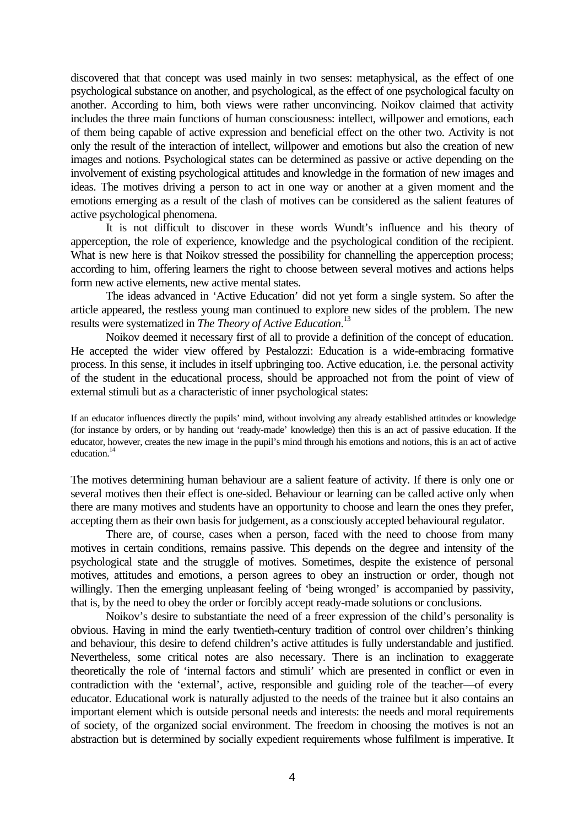discovered that that concept was used mainly in two senses: metaphysical, as the effect of one psychological substance on another, and psychological, as the effect of one psychological faculty on another. According to him, both views were rather unconvincing. Noikov claimed that activity includes the three main functions of human consciousness: intellect, willpower and emotions, each of them being capable of active expression and beneficial effect on the other two. Activity is not only the result of the interaction of intellect, willpower and emotions but also the creation of new images and notions. Psychological states can be determined as passive or active depending on the involvement of existing psychological attitudes and knowledge in the formation of new images and ideas. The motives driving a person to act in one way or another at a given moment and the emotions emerging as a result of the clash of motives can be considered as the salient features of active psychological phenomena.

It is not difficult to discover in these words Wundt's influence and his theory of apperception, the role of experience, knowledge and the psychological condition of the recipient. What is new here is that Noikov stressed the possibility for channelling the apperception process; according to him, offering learners the right to choose between several motives and actions helps form new active elements, new active mental states.

The ideas advanced in 'Active Education' did not yet form a single system. So after the article appeared, the restless young man continued to explore new sides of the problem. The new results were systematized in *The Theory of Active Education*. 13

Noikov deemed it necessary first of all to provide a definition of the concept of education. He accepted the wider view offered by Pestalozzi: Education is a wide-embracing formative process. In this sense, it includes in itself upbringing too. Active education, i.e. the personal activity of the student in the educational process, should be approached not from the point of view of external stimuli but as a characteristic of inner psychological states:

If an educator influences directly the pupils' mind, without involving any already established attitudes or knowledge (for instance by orders, or by handing out 'ready-made' knowledge) then this is an act of passive education. If the educator, however, creates the new image in the pupil's mind through his emotions and notions, this is an act of active education.<sup>14</sup>

The motives determining human behaviour are a salient feature of activity. If there is only one or several motives then their effect is one-sided. Behaviour or learning can be called active only when there are many motives and students have an opportunity to choose and learn the ones they prefer, accepting them as their own basis for judgement, as a consciously accepted behavioural regulator.

There are, of course, cases when a person, faced with the need to choose from many motives in certain conditions, remains passive. This depends on the degree and intensity of the psychological state and the struggle of motives. Sometimes, despite the existence of personal motives, attitudes and emotions, a person agrees to obey an instruction or order, though not willingly. Then the emerging unpleasant feeling of 'being wronged' is accompanied by passivity, that is, by the need to obey the order or forcibly accept ready-made solutions or conclusions.

Noikov's desire to substantiate the need of a freer expression of the child's personality is obvious. Having in mind the early twentieth-century tradition of control over children's thinking and behaviour, this desire to defend children's active attitudes is fully understandable and justified. Nevertheless, some critical notes are also necessary. There is an inclination to exaggerate theoretically the role of 'internal factors and stimuli' which are presented in conflict or even in contradiction with the 'external', active, responsible and guiding role of the teacher—of every educator. Educational work is naturally adjusted to the needs of the trainee but it also contains an important element which is outside personal needs and interests: the needs and moral requirements of society, of the organized social environment. The freedom in choosing the motives is not an abstraction but is determined by socially expedient requirements whose fulfilment is imperative. It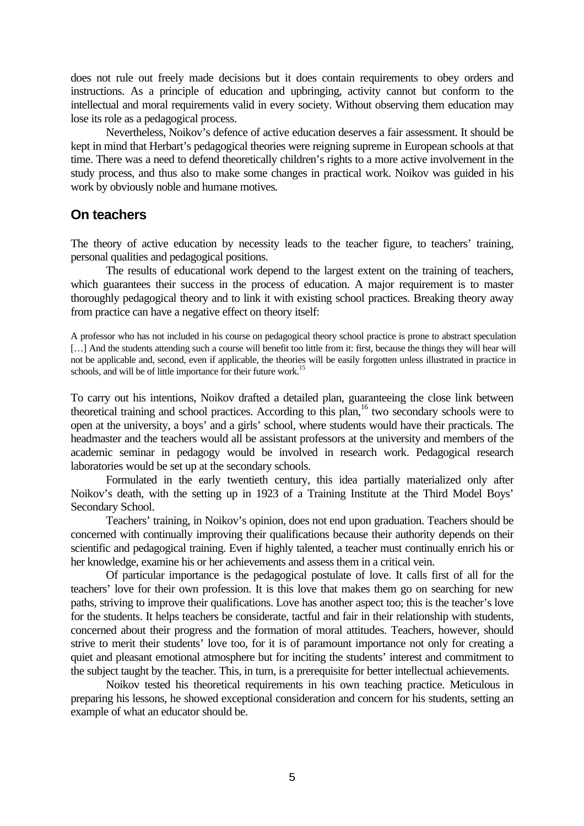does not rule out freely made decisions but it does contain requirements to obey orders and instructions. As a principle of education and upbringing, activity cannot but conform to the intellectual and moral requirements valid in every society. Without observing them education may lose its role as a pedagogical process.

Nevertheless, Noikov's defence of active education deserves a fair assessment. It should be kept in mind that Herbart's pedagogical theories were reigning supreme in European schools at that time. There was a need to defend theoretically children's rights to a more active involvement in the study process, and thus also to make some changes in practical work. Noikov was guided in his work by obviously noble and humane motives.

#### **On teachers**

The theory of active education by necessity leads to the teacher figure, to teachers' training, personal qualities and pedagogical positions.

The results of educational work depend to the largest extent on the training of teachers, which guarantees their success in the process of education. A major requirement is to master thoroughly pedagogical theory and to link it with existing school practices. Breaking theory away from practice can have a negative effect on theory itself:

A professor who has not included in his course on pedagogical theory school practice is prone to abstract speculation [...] And the students attending such a course will benefit too little from it: first, because the things they will hear will not be applicable and, second, even if applicable, the theories will be easily forgotten unless illustrated in practice in schools, and will be of little importance for their future work.<sup>15</sup>

To carry out his intentions, Noikov drafted a detailed plan, guaranteeing the close link between theoretical training and school practices. According to this plan,<sup>16</sup> two secondary schools were to open at the university, a boys' and a girls' school, where students would have their practicals. The headmaster and the teachers would all be assistant professors at the university and members of the academic seminar in pedagogy would be involved in research work. Pedagogical research laboratories would be set up at the secondary schools.

Formulated in the early twentieth century, this idea partially materialized only after Noikov's death, with the setting up in 1923 of a Training Institute at the Third Model Boys' Secondary School.

Teachers' training, in Noikov's opinion, does not end upon graduation. Teachers should be concerned with continually improving their qualifications because their authority depends on their scientific and pedagogical training. Even if highly talented, a teacher must continually enrich his or her knowledge, examine his or her achievements and assess them in a critical vein.

Of particular importance is the pedagogical postulate of love. It calls first of all for the teachers' love for their own profession. It is this love that makes them go on searching for new paths, striving to improve their qualifications. Love has another aspect too; this is the teacher's love for the students. It helps teachers be considerate, tactful and fair in their relationship with students, concerned about their progress and the formation of moral attitudes. Teachers, however, should strive to merit their students' love too, for it is of paramount importance not only for creating a quiet and pleasant emotional atmosphere but for inciting the students' interest and commitment to the subject taught by the teacher. This, in turn, is a prerequisite for better intellectual achievements.

Noikov tested his theoretical requirements in his own teaching practice. Meticulous in preparing his lessons, he showed exceptional consideration and concern for his students, setting an example of what an educator should be.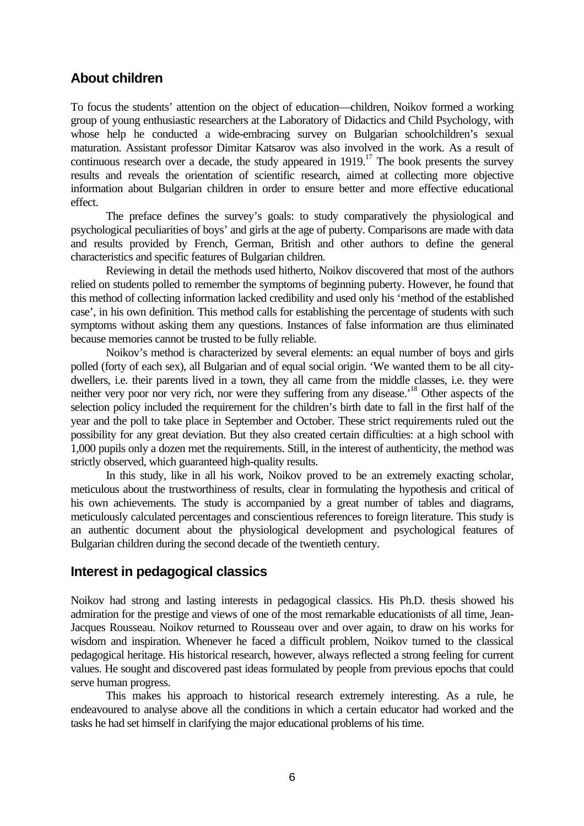### **About children**

To focus the students' attention on the object of education—children, Noikov formed a working group of young enthusiastic researchers at the Laboratory of Didactics and Child Psychology, with whose help he conducted a wide-embracing survey on Bulgarian schoolchildren's sexual maturation. Assistant professor Dimitar Katsarov was also involved in the work. As a result of continuous research over a decade, the study appeared in 1919.<sup>17</sup> The book presents the survey results and reveals the orientation of scientific research, aimed at collecting more objective information about Bulgarian children in order to ensure better and more effective educational effect.

The preface defines the survey's goals: to study comparatively the physiological and psychological peculiarities of boys' and girls at the age of puberty. Comparisons are made with data and results provided by French, German, British and other authors to define the general characteristics and specific features of Bulgarian children.

Reviewing in detail the methods used hitherto, Noikov discovered that most of the authors relied on students polled to remember the symptoms of beginning puberty. However, he found that this method of collecting information lacked credibility and used only his 'method of the established case', in his own definition. This method calls for establishing the percentage of students with such symptoms without asking them any questions. Instances of false information are thus eliminated because memories cannot be trusted to be fully reliable.

Noikov's method is characterized by several elements: an equal number of boys and girls polled (forty of each sex), all Bulgarian and of equal social origin. 'We wanted them to be all citydwellers, i.e. their parents lived in a town, they all came from the middle classes, i.e. they were neither very poor nor very rich, nor were they suffering from any disease.<sup>18</sup> Other aspects of the selection policy included the requirement for the children's birth date to fall in the first half of the year and the poll to take place in September and October. These strict requirements ruled out the possibility for any great deviation. But they also created certain difficulties: at a high school with 1,000 pupils only a dozen met the requirements. Still, in the interest of authenticity, the method was strictly observed, which guaranteed high-quality results.

In this study, like in all his work, Noikov proved to be an extremely exacting scholar, meticulous about the trustworthiness of results, clear in formulating the hypothesis and critical of his own achievements. The study is accompanied by a great number of tables and diagrams, meticulously calculated percentages and conscientious references to foreign literature. This study is an authentic document about the physiological development and psychological features of Bulgarian children during the second decade of the twentieth century.

#### **Interest in pedagogical classics**

Noikov had strong and lasting interests in pedagogical classics. His Ph.D. thesis showed his admiration for the prestige and views of one of the most remarkable educationists of all time, Jean-Jacques Rousseau. Noikov returned to Rousseau over and over again, to draw on his works for wisdom and inspiration. Whenever he faced a difficult problem, Noikov turned to the classical pedagogical heritage. His historical research, however, always reflected a strong feeling for current values. He sought and discovered past ideas formulated by people from previous epochs that could serve human progress.

This makes his approach to historical research extremely interesting. As a rule, he endeavoured to analyse above all the conditions in which a certain educator had worked and the tasks he had set himself in clarifying the major educational problems of his time.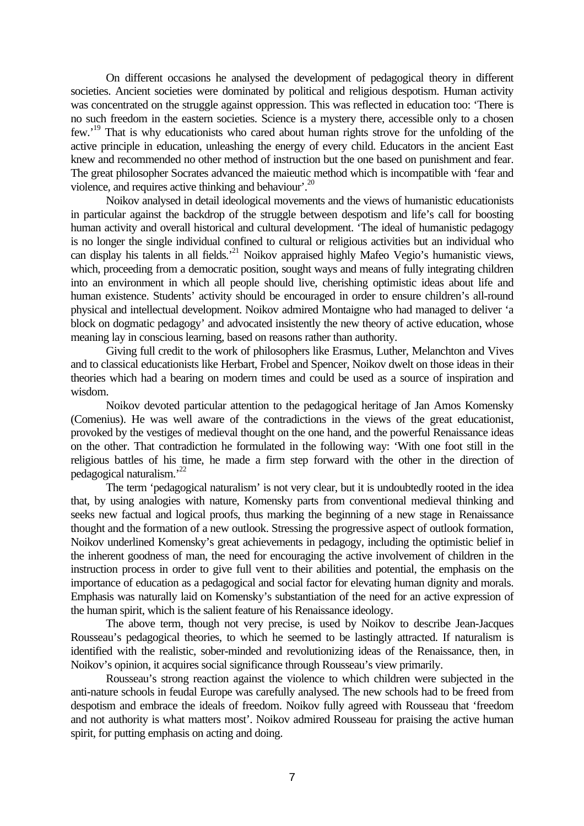On different occasions he analysed the development of pedagogical theory in different societies. Ancient societies were dominated by political and religious despotism. Human activity was concentrated on the struggle against oppression. This was reflected in education too: 'There is no such freedom in the eastern societies. Science is a mystery there, accessible only to a chosen few.'<sup>19</sup> That is why educationists who cared about human rights strove for the unfolding of the active principle in education, unleashing the energy of every child. Educators in the ancient East knew and recommended no other method of instruction but the one based on punishment and fear. The great philosopher Socrates advanced the maieutic method which is incompatible with 'fear and violence, and requires active thinking and behaviour'.<sup>20</sup>

Noikov analysed in detail ideological movements and the views of humanistic educationists in particular against the backdrop of the struggle between despotism and life's call for boosting human activity and overall historical and cultural development. 'The ideal of humanistic pedagogy is no longer the single individual confined to cultural or religious activities but an individual who can display his talents in all fields.<sup>21</sup> Noikov appraised highly Mafeo Vegio's humanistic views, which, proceeding from a democratic position, sought ways and means of fully integrating children into an environment in which all people should live, cherishing optimistic ideas about life and human existence. Students' activity should be encouraged in order to ensure children's all-round physical and intellectual development. Noikov admired Montaigne who had managed to deliver 'a block on dogmatic pedagogy' and advocated insistently the new theory of active education, whose meaning lay in conscious learning, based on reasons rather than authority.

Giving full credit to the work of philosophers like Erasmus, Luther, Melanchton and Vives and to classical educationists like Herbart, Frobel and Spencer, Noikov dwelt on those ideas in their theories which had a bearing on modern times and could be used as a source of inspiration and wisdom.

Noikov devoted particular attention to the pedagogical heritage of Jan Amos Komensky (Comenius). He was well aware of the contradictions in the views of the great educationist, provoked by the vestiges of medieval thought on the one hand, and the powerful Renaissance ideas on the other. That contradiction he formulated in the following way: 'With one foot still in the religious battles of his time, he made a firm step forward with the other in the direction of pedagogical naturalism.'<sup>22</sup>

The term 'pedagogical naturalism' is not very clear, but it is undoubtedly rooted in the idea that, by using analogies with nature, Komensky parts from conventional medieval thinking and seeks new factual and logical proofs, thus marking the beginning of a new stage in Renaissance thought and the formation of a new outlook. Stressing the progressive aspect of outlook formation, Noikov underlined Komensky's great achievements in pedagogy, including the optimistic belief in the inherent goodness of man, the need for encouraging the active involvement of children in the instruction process in order to give full vent to their abilities and potential, the emphasis on the importance of education as a pedagogical and social factor for elevating human dignity and morals. Emphasis was naturally laid on Komensky's substantiation of the need for an active expression of the human spirit, which is the salient feature of his Renaissance ideology.

The above term, though not very precise, is used by Noikov to describe Jean-Jacques Rousseau's pedagogical theories, to which he seemed to be lastingly attracted. If naturalism is identified with the realistic, sober-minded and revolutionizing ideas of the Renaissance, then, in Noikov's opinion, it acquires social significance through Rousseau's view primarily.

Rousseau's strong reaction against the violence to which children were subjected in the anti-nature schools in feudal Europe was carefully analysed. The new schools had to be freed from despotism and embrace the ideals of freedom. Noikov fully agreed with Rousseau that 'freedom and not authority is what matters most'. Noikov admired Rousseau for praising the active human spirit, for putting emphasis on acting and doing.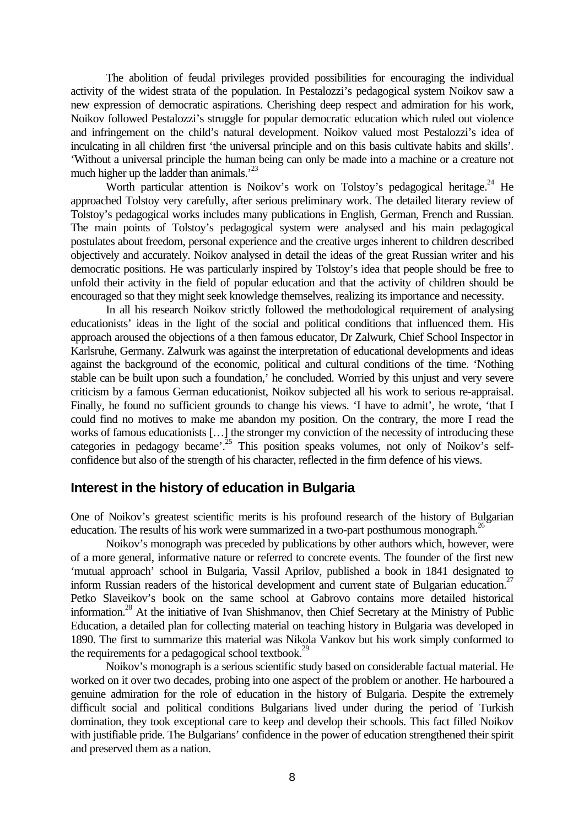The abolition of feudal privileges provided possibilities for encouraging the individual activity of the widest strata of the population. In Pestalozzi's pedagogical system Noikov saw a new expression of democratic aspirations. Cherishing deep respect and admiration for his work, Noikov followed Pestalozzi's struggle for popular democratic education which ruled out violence and infringement on the child's natural development. Noikov valued most Pestalozzi's idea of inculcating in all children first 'the universal principle and on this basis cultivate habits and skills'. 'Without a universal principle the human being can only be made into a machine or a creature not much higher up the ladder than animals.<sup>23</sup>

Worth particular attention is Noikov's work on Tolstoy's pedagogical heritage.<sup>24</sup> He approached Tolstoy very carefully, after serious preliminary work. The detailed literary review of Tolstoy's pedagogical works includes many publications in English, German, French and Russian. The main points of Tolstoy's pedagogical system were analysed and his main pedagogical postulates about freedom, personal experience and the creative urges inherent to children described objectively and accurately. Noikov analysed in detail the ideas of the great Russian writer and his democratic positions. He was particularly inspired by Tolstoy's idea that people should be free to unfold their activity in the field of popular education and that the activity of children should be encouraged so that they might seek knowledge themselves, realizing its importance and necessity.

In all his research Noikov strictly followed the methodological requirement of analysing educationists' ideas in the light of the social and political conditions that influenced them. His approach aroused the objections of a then famous educator, Dr Zalwurk, Chief School Inspector in Karlsruhe, Germany. Zalwurk was against the interpretation of educational developments and ideas against the background of the economic, political and cultural conditions of the time. 'Nothing stable can be built upon such a foundation,' he concluded. Worried by this unjust and very severe criticism by a famous German educationist, Noikov subjected all his work to serious re-appraisal. Finally, he found no sufficient grounds to change his views. 'I have to admit', he wrote, 'that I could find no motives to make me abandon my position. On the contrary, the more I read the works of famous educationists […] the stronger my conviction of the necessity of introducing these categories in pedagogy became'.<sup>25</sup> This position speaks volumes, not only of Noikov's selfconfidence but also of the strength of his character, reflected in the firm defence of his views.

#### **Interest in the history of education in Bulgaria**

One of Noikov's greatest scientific merits is his profound research of the history of Bulgarian education. The results of his work were summarized in a two-part posthumous monograph.<sup>26</sup>

Noikov's monograph was preceded by publications by other authors which, however, were of a more general, informative nature or referred to concrete events. The founder of the first new 'mutual approach' school in Bulgaria, Vassil Aprilov, published a book in 1841 designated to inform Russian readers of the historical development and current state of Bulgarian education.<sup>27</sup> Petko Slaveikov's book on the same school at Gabrovo contains more detailed historical information.<sup>28</sup> At the initiative of Ivan Shishmanov, then Chief Secretary at the Ministry of Public Education, a detailed plan for collecting material on teaching history in Bulgaria was developed in 1890. The first to summarize this material was Nikola Vankov but his work simply conformed to the requirements for a pedagogical school textbook.<sup>29</sup>

Noikov's monograph is a serious scientific study based on considerable factual material. He worked on it over two decades, probing into one aspect of the problem or another. He harboured a genuine admiration for the role of education in the history of Bulgaria. Despite the extremely difficult social and political conditions Bulgarians lived under during the period of Turkish domination, they took exceptional care to keep and develop their schools. This fact filled Noikov with justifiable pride. The Bulgarians' confidence in the power of education strengthened their spirit and preserved them as a nation.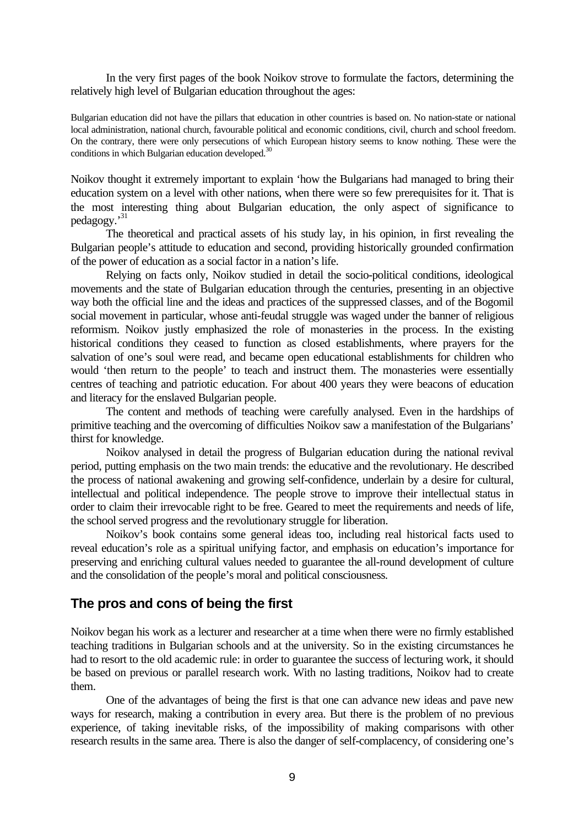In the very first pages of the book Noikov strove to formulate the factors, determining the relatively high level of Bulgarian education throughout the ages:

Bulgarian education did not have the pillars that education in other countries is based on. No nation-state or national local administration, national church, favourable political and economic conditions, civil, church and school freedom. On the contrary, there were only persecutions of which European history seems to know nothing. These were the conditions in which Bulgarian education developed.<sup>30</sup>

Noikov thought it extremely important to explain 'how the Bulgarians had managed to bring their education system on a level with other nations, when there were so few prerequisites for it. That is the most interesting thing about Bulgarian education, the only aspect of significance to pedagogy.'31

The theoretical and practical assets of his study lay, in his opinion, in first revealing the Bulgarian people's attitude to education and second, providing historically grounded confirmation of the power of education as a social factor in a nation's life.

Relying on facts only, Noikov studied in detail the socio-political conditions, ideological movements and the state of Bulgarian education through the centuries, presenting in an objective way both the official line and the ideas and practices of the suppressed classes, and of the Bogomil social movement in particular, whose anti-feudal struggle was waged under the banner of religious reformism. Noikov justly emphasized the role of monasteries in the process. In the existing historical conditions they ceased to function as closed establishments, where prayers for the salvation of one's soul were read, and became open educational establishments for children who would 'then return to the people' to teach and instruct them. The monasteries were essentially centres of teaching and patriotic education. For about 400 years they were beacons of education and literacy for the enslaved Bulgarian people.

The content and methods of teaching were carefully analysed. Even in the hardships of primitive teaching and the overcoming of difficulties Noikov saw a manifestation of the Bulgarians' thirst for knowledge.

Noikov analysed in detail the progress of Bulgarian education during the national revival period, putting emphasis on the two main trends: the educative and the revolutionary. He described the process of national awakening and growing self-confidence, underlain by a desire for cultural, intellectual and political independence. The people strove to improve their intellectual status in order to claim their irrevocable right to be free. Geared to meet the requirements and needs of life, the school served progress and the revolutionary struggle for liberation.

Noikov's book contains some general ideas too, including real historical facts used to reveal education's role as a spiritual unifying factor, and emphasis on education's importance for preserving and enriching cultural values needed to guarantee the all-round development of culture and the consolidation of the people's moral and political consciousness.

#### **The pros and cons of being the first**

Noikov began his work as a lecturer and researcher at a time when there were no firmly established teaching traditions in Bulgarian schools and at the university. So in the existing circumstances he had to resort to the old academic rule: in order to guarantee the success of lecturing work, it should be based on previous or parallel research work. With no lasting traditions, Noikov had to create them.

One of the advantages of being the first is that one can advance new ideas and pave new ways for research, making a contribution in every area. But there is the problem of no previous experience, of taking inevitable risks, of the impossibility of making comparisons with other research results in the same area. There is also the danger of self-complacency, of considering one's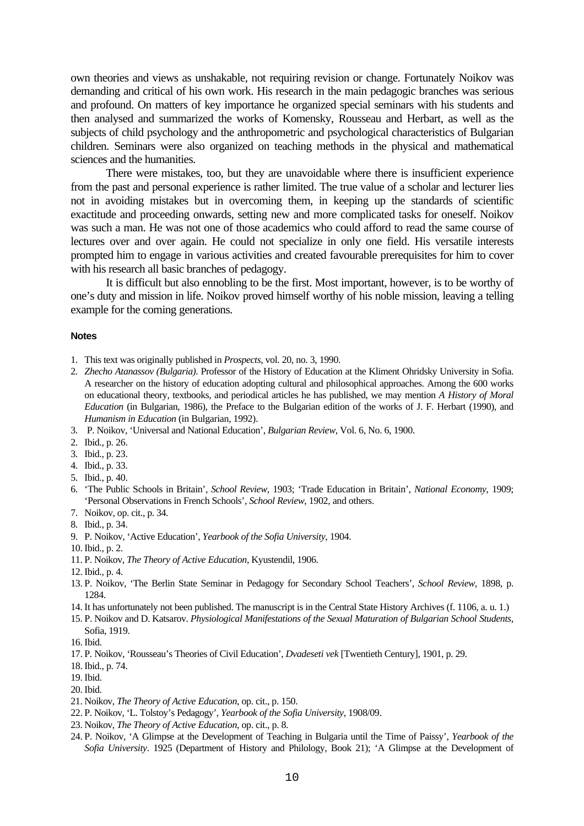own theories and views as unshakable, not requiring revision or change. Fortunately Noikov was demanding and critical of his own work. His research in the main pedagogic branches was serious and profound. On matters of key importance he organized special seminars with his students and then analysed and summarized the works of Komensky, Rousseau and Herbart, as well as the subjects of child psychology and the anthropometric and psychological characteristics of Bulgarian children. Seminars were also organized on teaching methods in the physical and mathematical sciences and the humanities.

There were mistakes, too, but they are unavoidable where there is insufficient experience from the past and personal experience is rather limited. The true value of a scholar and lecturer lies not in avoiding mistakes but in overcoming them, in keeping up the standards of scientific exactitude and proceeding onwards, setting new and more complicated tasks for oneself. Noikov was such a man. He was not one of those academics who could afford to read the same course of lectures over and over again. He could not specialize in only one field. His versatile interests prompted him to engage in various activities and created favourable prerequisites for him to cover with his research all basic branches of pedagogy.

It is difficult but also ennobling to be the first. Most important, however, is to be worthy of one's duty and mission in life. Noikov proved himself worthy of his noble mission, leaving a telling example for the coming generations.

#### **Notes**

- 1. This text was originally published in *Prospects*, vol. 20, no. 3, 1990.
- 2. *Zhecho Atanassov (Bulgaria).* Professor of the History of Education at the Kliment Ohridsky University in Sofia. A researcher on the history of education adopting cultural and philosophical approaches. Among the 600 works on educational theory, textbooks, and periodical articles he has published, we may mention *A History of Moral Education* (in Bulgarian, 1986), the Preface to the Bulgarian edition of the works of J. F. Herbart (1990), and *Humanism in Education* (in Bulgarian, 1992).
- 3. P. Noikov, 'Universal and National Education', *Bulgarian Review*, Vol. 6, No. 6, 1900.
- 2. Ibid., p. 26.
- 3. Ibid., p. 23.
- 4. Ibid., p. 33.
- 5. Ibid., p. 40.
- 6. 'The Public Schools in Britain', *School Review*, 1903; 'Trade Education in Britain', *National Economy*, 1909; 'Personal Observations in French Schools', *School Review*, 1902, and others.
- 7. Noikov, op. cit., p. 34.
- 8. Ibid., p. 34.
- 9. P. Noikov, 'Active Education', *Yearbook of the Sofia University*, 1904.
- 10. Ibid., p. 2.
- 11. P. Noikov, *The Theory of Active Education*, Kyustendil, 1906.
- 12. Ibid., p. 4.
- 13. P. Noikov, 'The Berlin State Seminar in Pedagogy for Secondary School Teachers', *School Review*, 1898, p. 1284.
- 14. It has unfortunately not been published. The manuscript is in the Central State History Archives (f. 1106, a. u. 1.)
- 15. P. Noikov and D. Katsarov. *Physiological Manifestations of the Sexual Maturation of Bulgarian School Students*, Sofia, 1919.
- 16. Ibid.

18. Ibid., p. 74.

- 20. Ibid.
- 21. Noikov, *The Theory of Active Education*, op. cit., p. 150.
- 22. P. Noikov, 'L. Tolstoy's Pedagogy', *Yearbook of the Sofia University*, 1908/09.
- 23. Noikov, *The Theory of Active Education*, op. cit., p. 8.
- 24. P. Noikov, 'A Glimpse at the Development of Teaching in Bulgaria until the Time of Paissy', *Yearbook of the Sofia University*. 1925 (Department of History and Philology, Book 21); 'A Glimpse at the Development of

<sup>17.</sup> P. Noikov, 'Rousseau's Theories of Civil Education', *Dvadeseti vek* [Twentieth Century], 1901, p. 29.

<sup>19.</sup> Ibid.